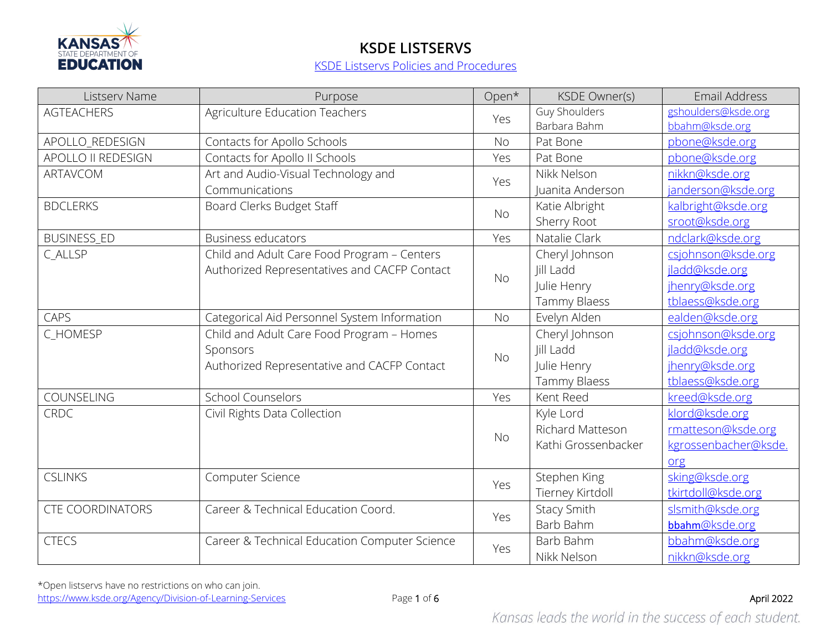

| Listserv Name           | Purpose                                       | Open*     | <b>KSDE Owner(s)</b> | Email Address        |
|-------------------------|-----------------------------------------------|-----------|----------------------|----------------------|
| <b>AGTEACHERS</b>       | Agriculture Education Teachers                | Yes       | Guy Shoulders        | gshoulders@ksde.org  |
|                         |                                               |           | Barbara Bahm         | bbahm@ksde.org       |
| APOLLO_REDESIGN         | Contacts for Apollo Schools                   | No        | Pat Bone             | pbone@ksde.org       |
| APOLLO II REDESIGN      | Contacts for Apollo II Schools                | Yes       | Pat Bone             | pbone@ksde.org       |
| ARTAVCOM                | Art and Audio-Visual Technology and           | Yes       | Nikk Nelson          | nikkn@ksde.org       |
|                         | Communications                                |           | Juanita Anderson     | janderson@ksde.org   |
| <b>BDCLERKS</b>         | Board Clerks Budget Staff                     |           | Katie Albright       | kalbright@ksde.org   |
|                         |                                               | <b>No</b> | Sherry Root          | sroot@ksde.org       |
| <b>BUSINESS_ED</b>      | <b>Business educators</b>                     | Yes       | Natalie Clark        | ndclark@ksde.org     |
| C_ALLSP                 | Child and Adult Care Food Program - Centers   |           | Cheryl Johnson       | csjohnson@ksde.org   |
|                         | Authorized Representatives and CACFP Contact  |           | Jill Ladd            | jladd@ksde.org       |
|                         |                                               | <b>No</b> | Julie Henry          | jhenry@ksde.org      |
|                         |                                               |           | Tammy Blaess         | tblaess@ksde.org     |
| CAPS                    | Categorical Aid Personnel System Information  | <b>No</b> | Evelyn Alden         | ealden@ksde.org      |
| C_HOMESP                | Child and Adult Care Food Program - Homes     |           | Cheryl Johnson       | csjohnson@ksde.org   |
|                         | Sponsors                                      |           | Jill Ladd            | jladd@ksde.org       |
|                         | Authorized Representative and CACFP Contact   | <b>No</b> | Julie Henry          | jhenry@ksde.org      |
|                         |                                               |           | Tammy Blaess         | tblaess@ksde.org     |
| COUNSELING              | <b>School Counselors</b>                      | Yes       | Kent Reed            | kreed@ksde.org       |
| <b>CRDC</b>             | Civil Rights Data Collection                  |           | Kyle Lord            | klord@ksde.org       |
|                         |                                               | <b>No</b> | Richard Matteson     | rmatteson@ksde.org   |
|                         |                                               |           | Kathi Grossenbacker  | kgrossenbacher@ksde. |
|                         |                                               |           |                      | org                  |
| <b>CSLINKS</b>          | Computer Science                              |           | Stephen King         | sking@ksde.org       |
|                         |                                               | Yes       | Tierney Kirtdoll     | tkirtdoll@ksde.org   |
| <b>CTE COORDINATORS</b> | Career & Technical Education Coord.           |           | <b>Stacy Smith</b>   | slsmith@ksde.org     |
|                         |                                               | Yes       | Barb Bahm            | bbahm@ksde.org       |
| <b>CTECS</b>            | Career & Technical Education Computer Science | Yes       | Barb Bahm            | bbahm@ksde.org       |
|                         |                                               |           | Nikk Nelson          | nikkn@ksde.org       |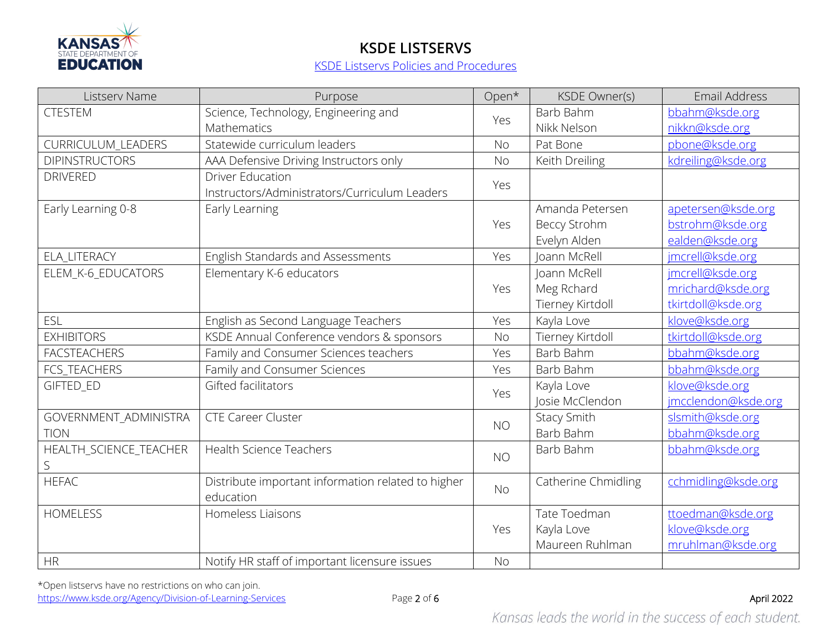

| Listserv Name          | Purpose                                            | Open*     | <b>KSDE Owner(s)</b> | <b>Email Address</b> |
|------------------------|----------------------------------------------------|-----------|----------------------|----------------------|
| <b>CTESTEM</b>         | Science, Technology, Engineering and               | Yes       | Barb Bahm            | bbahm@ksde.org       |
|                        | Mathematics                                        |           | Nikk Nelson          | nikkn@ksde.org       |
| CURRICULUM_LEADERS     | Statewide curriculum leaders                       | <b>No</b> | Pat Bone             | pbone@ksde.org       |
| <b>DIPINSTRUCTORS</b>  | AAA Defensive Driving Instructors only             | <b>No</b> | Keith Dreiling       | kdreiling@ksde.org   |
| <b>DRIVERED</b>        | <b>Driver Education</b>                            | Yes       |                      |                      |
|                        | Instructors/Administrators/Curriculum Leaders      |           |                      |                      |
| Early Learning 0-8     | Early Learning                                     |           | Amanda Petersen      | apetersen@ksde.org   |
|                        |                                                    | Yes       | <b>Beccy Strohm</b>  | bstrohm@ksde.org     |
|                        |                                                    |           | Evelyn Alden         | ealden@ksde.org      |
| <b>ELA LITERACY</b>    | English Standards and Assessments                  | Yes       | Ioann McRell         | jmcrell@ksde.org     |
| ELEM_K-6_EDUCATORS     | Elementary K-6 educators                           |           | Joann McRell         | imcrell@ksde.org     |
|                        |                                                    | Yes       | Meg Rchard           | mrichard@ksde.org    |
|                        |                                                    |           | Tierney Kirtdoll     | tkirtdoll@ksde.org   |
| <b>ESL</b>             | English as Second Language Teachers                | Yes       | Kayla Love           | klove@ksde.org       |
| <b>EXHIBITORS</b>      | KSDE Annual Conference vendors & sponsors          | <b>No</b> | Tierney Kirtdoll     | tkirtdoll@ksde.org   |
| <b>FACSTEACHERS</b>    | Family and Consumer Sciences teachers              | Yes       | Barb Bahm            | bbahm@ksde.org       |
| FCS_TEACHERS           | Family and Consumer Sciences                       | Yes       | Barb Bahm            | bbahm@ksde.org       |
| GIFTED_ED              | Gifted facilitators                                | Yes       | Kayla Love           | klove@ksde.org       |
|                        |                                                    |           | Josie McClendon      | jmcclendon@ksde.org  |
| GOVERNMENT_ADMINISTRA  | <b>CTE Career Cluster</b>                          |           | <b>Stacy Smith</b>   | slsmith@ksde.org     |
| <b>TION</b>            |                                                    | <b>NO</b> | Barb Bahm            | bbahm@ksde.org       |
| HEALTH_SCIENCE_TEACHER | <b>Health Science Teachers</b>                     | <b>NO</b> | Barb Bahm            | bbahm@ksde.org       |
| S                      |                                                    |           |                      |                      |
| <b>HEFAC</b>           | Distribute important information related to higher | <b>No</b> | Catherine Chmidling  | cchmidling@ksde.org  |
|                        | education                                          |           |                      |                      |
| <b>HOMELESS</b>        | Homeless Liaisons                                  |           | Tate Toedman         | ttoedman@ksde.org    |
|                        |                                                    | Yes       | Kayla Love           | klove@ksde.org       |
|                        |                                                    |           | Maureen Ruhlman      | mruhlman@ksde.org    |
| <b>HR</b>              | Notify HR staff of important licensure issues      | <b>No</b> |                      |                      |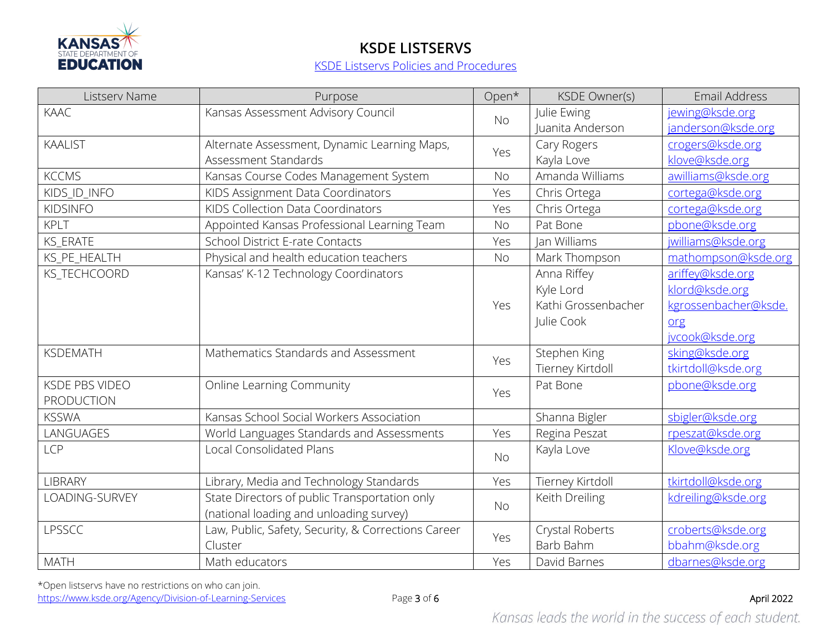

| Listserv Name         | Purpose                                             | Open*     | <b>KSDE Owner(s)</b> | <b>Email Address</b> |
|-----------------------|-----------------------------------------------------|-----------|----------------------|----------------------|
| KAAC                  | Kansas Assessment Advisory Council                  | <b>No</b> | Julie Ewing          | jewing@ksde.org      |
|                       |                                                     |           | Juanita Anderson     | janderson@ksde.org   |
| <b>KAALIST</b>        | Alternate Assessment, Dynamic Learning Maps,        | Yes       | Cary Rogers          | crogers@ksde.org     |
|                       | Assessment Standards                                |           | Kayla Love           | klove@ksde.org       |
| <b>KCCMS</b>          | Kansas Course Codes Management System               | <b>No</b> | Amanda Williams      | awilliams@ksde.org   |
| KIDS ID INFO          | KIDS Assignment Data Coordinators                   | Yes       | Chris Ortega         | cortega@ksde.org     |
| <b>KIDSINFO</b>       | KIDS Collection Data Coordinators                   | Yes       | Chris Ortega         | cortega@ksde.org     |
| <b>KPLT</b>           | Appointed Kansas Professional Learning Team         | <b>No</b> | Pat Bone             | pbone@ksde.org       |
| <b>KS_ERATE</b>       | <b>School District E-rate Contacts</b>              | Yes       | Jan Williams         | jwilliams@ksde.org   |
| KS_PE_HEALTH          | Physical and health education teachers              | <b>No</b> | Mark Thompson        | mathompson@ksde.org  |
| <b>KS TECHCOORD</b>   | Kansas' K-12 Technology Coordinators                |           | Anna Riffey          | ariffey@ksde.org     |
|                       |                                                     |           | Kyle Lord            | klord@ksde.org       |
|                       |                                                     | Yes       | Kathi Grossenbacher  | kgrossenbacher@ksde. |
|                       |                                                     |           | Julie Cook           | org                  |
|                       |                                                     |           |                      | jvcook@ksde.org      |
| <b>KSDEMATH</b>       | Mathematics Standards and Assessment                | Yes       | Stephen King         | sking@ksde.org       |
|                       |                                                     |           | Tierney Kirtdoll     | tkirtdoll@ksde.org   |
| <b>KSDE PBS VIDEO</b> | <b>Online Learning Community</b>                    | Yes       | Pat Bone             | pbone@ksde.org       |
| <b>PRODUCTION</b>     |                                                     |           |                      |                      |
| <b>KSSWA</b>          | Kansas School Social Workers Association            |           | Shanna Bigler        | sbigler@ksde.org     |
| LANGUAGES             | World Languages Standards and Assessments           | Yes       | Regina Peszat        | rpeszat@ksde.org     |
| <b>LCP</b>            | <b>Local Consolidated Plans</b>                     | <b>No</b> | Kayla Love           | Klove@ksde.org       |
|                       |                                                     |           |                      |                      |
| <b>LIBRARY</b>        | Library, Media and Technology Standards             | Yes       | Tierney Kirtdoll     | tkirtdoll@ksde.org   |
| LOADING-SURVEY        | State Directors of public Transportation only       | <b>No</b> | Keith Dreiling       | kdreiling@ksde.org   |
|                       | (national loading and unloading survey)             |           |                      |                      |
| LPSSCC                | Law, Public, Safety, Security, & Corrections Career | Yes       | Crystal Roberts      | croberts@ksde.org    |
|                       | Cluster                                             |           | Barb Bahm            | bbahm@ksde.org       |
| <b>MATH</b>           | Math educators                                      | Yes       | David Barnes         | dbarnes@ksde.org     |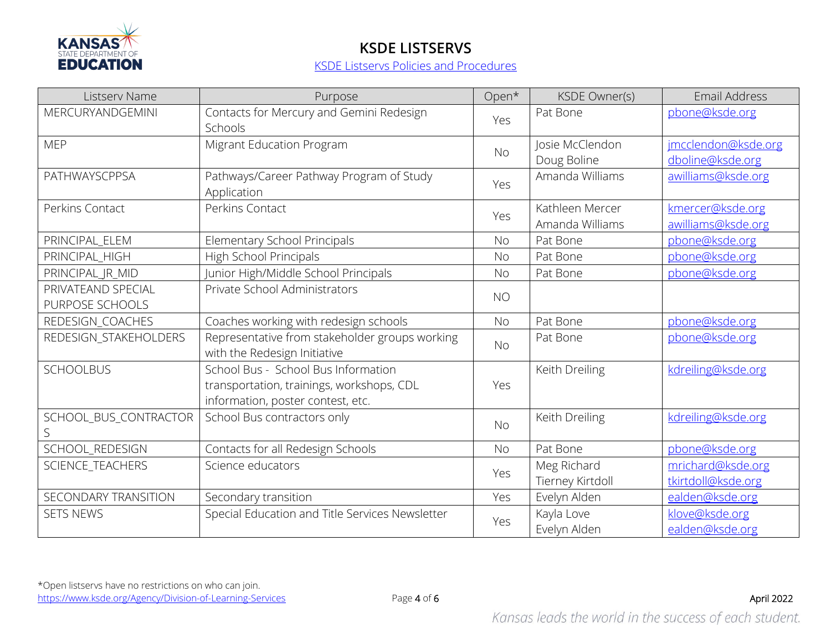

| Listserv Name                         | Purpose                                                                                                               | Open*     | <b>KSDE Owner(s)</b>               | Email Address                           |
|---------------------------------------|-----------------------------------------------------------------------------------------------------------------------|-----------|------------------------------------|-----------------------------------------|
| MERCURYANDGEMINI                      | Contacts for Mercury and Gemini Redesign<br>Schools                                                                   | Yes       | Pat Bone                           | pbone@ksde.org                          |
| <b>MEP</b>                            | Migrant Education Program                                                                                             | <b>No</b> | Josie McClendon<br>Doug Boline     | imcclendon@ksde.org<br>dboline@ksde.org |
| PATHWAYSCPPSA                         | Pathways/Career Pathway Program of Study<br>Application                                                               | Yes       | Amanda Williams                    | awilliams@ksde.org                      |
| Perkins Contact                       | Perkins Contact                                                                                                       | Yes       | Kathleen Mercer<br>Amanda Williams | kmercer@ksde.org<br>awilliams@ksde.org  |
| PRINCIPAL_ELEM                        | Elementary School Principals                                                                                          | <b>No</b> | Pat Bone                           | pbone@ksde.org                          |
| PRINCIPAL_HIGH                        | High School Principals                                                                                                | <b>No</b> | Pat Bone                           | pbone@ksde.org                          |
| PRINCIPAL_JR_MID                      | Junior High/Middle School Principals                                                                                  | <b>No</b> | Pat Bone                           | pbone@ksde.org                          |
| PRIVATEAND SPECIAL<br>PURPOSE SCHOOLS | Private School Administrators                                                                                         | <b>NO</b> |                                    |                                         |
| REDESIGN_COACHES                      | Coaches working with redesign schools                                                                                 | <b>No</b> | Pat Bone                           | pbone@ksde.org                          |
| REDESIGN_STAKEHOLDERS                 | Representative from stakeholder groups working<br>with the Redesign Initiative                                        | <b>No</b> | Pat Bone                           | pbone@ksde.org                          |
| <b>SCHOOLBUS</b>                      | School Bus - School Bus Information<br>transportation, trainings, workshops, CDL<br>information, poster contest, etc. | Yes       | Keith Dreiling                     | kdreiling@ksde.org                      |
| SCHOOL_BUS_CONTRACTOR                 | School Bus contractors only                                                                                           | <b>No</b> | Keith Dreiling                     | kdreiling@ksde.org                      |
| SCHOOL_REDESIGN                       | Contacts for all Redesign Schools                                                                                     | <b>No</b> | Pat Bone                           | pbone@ksde.org                          |
| SCIENCE_TEACHERS                      | Science educators                                                                                                     | Yes       | Meg Richard<br>Tierney Kirtdoll    | mrichard@ksde.org<br>tkirtdoll@ksde.org |
| SECONDARY TRANSITION                  | Secondary transition                                                                                                  | Yes       | Evelyn Alden                       | ealden@ksde.org                         |
| <b>SETS NEWS</b>                      | Special Education and Title Services Newsletter                                                                       | Yes       | Kayla Love<br>Evelyn Alden         | klove@ksde.org<br>ealden@ksde.org       |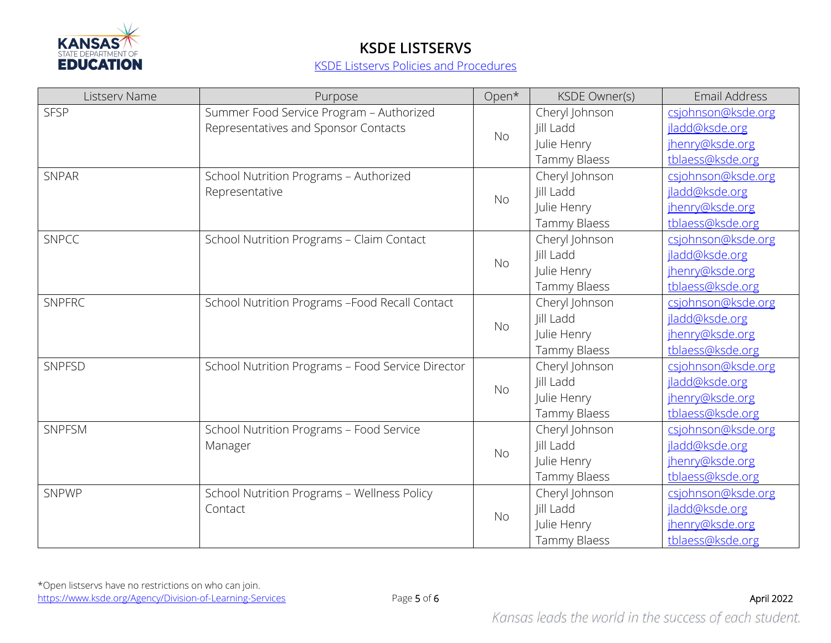

| Listserv Name | Purpose                                                                          | Open*     | KSDE Owner(s)               | Email Address                        |
|---------------|----------------------------------------------------------------------------------|-----------|-----------------------------|--------------------------------------|
| <b>SFSP</b>   | Summer Food Service Program - Authorized<br>Representatives and Sponsor Contacts | <b>No</b> | Cheryl Johnson<br>Jill Ladd | csjohnson@ksde.org<br>jladd@ksde.org |
|               |                                                                                  |           | Julie Henry                 | jhenry@ksde.org                      |
|               |                                                                                  |           | Tammy Blaess                | tblaess@ksde.org                     |
| <b>SNPAR</b>  | School Nutrition Programs - Authorized                                           |           | Cheryl Johnson              | csjohnson@ksde.org                   |
|               | Representative                                                                   |           | Jill Ladd                   | jladd@ksde.org                       |
|               |                                                                                  | <b>No</b> | Julie Henry                 | jhenry@ksde.org                      |
|               |                                                                                  |           | Tammy Blaess                | tblaess@ksde.org                     |
| <b>SNPCC</b>  | School Nutrition Programs - Claim Contact                                        |           | Cheryl Johnson              | csjohnson@ksde.org                   |
|               |                                                                                  | <b>No</b> | Jill Ladd                   | jladd@ksde.org                       |
|               |                                                                                  |           | Julie Henry                 | jhenry@ksde.org                      |
|               |                                                                                  |           | Tammy Blaess                | tblaess@ksde.org                     |
| <b>SNPFRC</b> | School Nutrition Programs -Food Recall Contact                                   |           | Cheryl Johnson              | csjohnson@ksde.org                   |
|               |                                                                                  | <b>No</b> | Jill Ladd                   | jladd@ksde.org                       |
|               |                                                                                  |           | Julie Henry                 | jhenry@ksde.org                      |
|               |                                                                                  |           | Tammy Blaess                | tblaess@ksde.org                     |
| SNPFSD        | School Nutrition Programs - Food Service Director                                |           | Cheryl Johnson              | csjohnson@ksde.org                   |
|               |                                                                                  | <b>No</b> | Jill Ladd                   | jladd@ksde.org                       |
|               |                                                                                  |           | Julie Henry                 | jhenry@ksde.org                      |
|               |                                                                                  |           | Tammy Blaess                | tblaess@ksde.org                     |
| SNPFSM        | School Nutrition Programs - Food Service<br>Manager                              | <b>No</b> | Cheryl Johnson              | csjohnson@ksde.org                   |
|               |                                                                                  |           | Jill Ladd                   | jladd@ksde.org                       |
|               |                                                                                  |           | Julie Henry                 | jhenry@ksde.org                      |
|               |                                                                                  |           | Tammy Blaess                | tblaess@ksde.org                     |
| SNPWP         | School Nutrition Programs - Wellness Policy<br>Contact                           | <b>No</b> | Cheryl Johnson              | csjohnson@ksde.org                   |
|               |                                                                                  |           | Jill Ladd                   | jladd@ksde.org                       |
|               |                                                                                  |           | Julie Henry                 | jhenry@ksde.org                      |
|               |                                                                                  |           | Tammy Blaess                | tblaess@ksde.org                     |